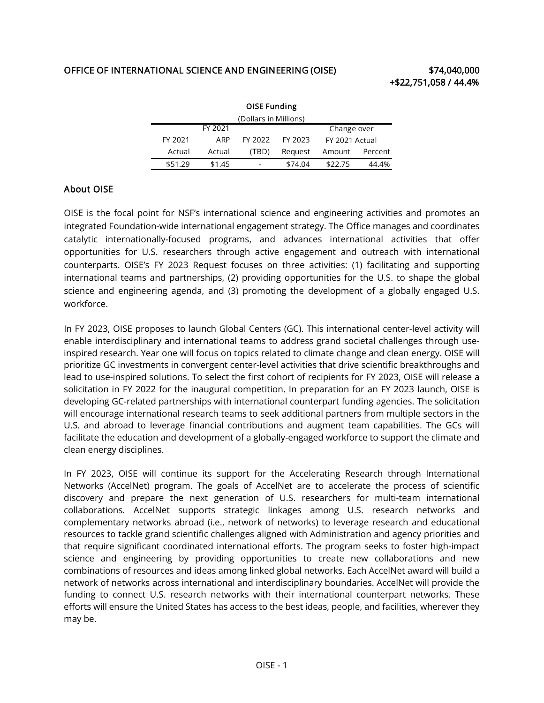## OFFICE OF INTERNATIONAL SCIENCE AND ENGINEERING (OISE) \$74,040,000

| <b>OISE Funding</b>   |         |         |         |         |                |         |  |  |  |
|-----------------------|---------|---------|---------|---------|----------------|---------|--|--|--|
| (Dollars in Millions) |         |         |         |         |                |         |  |  |  |
|                       |         | FY 2021 |         |         | Change over    |         |  |  |  |
|                       | FY 2021 | ARP     | FY 2022 | FY 2023 | FY 2021 Actual |         |  |  |  |
|                       | Actual  | Actual  | (TBD)   | Reguest | Amount         | Percent |  |  |  |
|                       | \$51.29 | \$1.45  |         | \$74.04 | \$22.75        | 44.4%   |  |  |  |

## About OISE

 integrated Foundation-wide international engagement strategy. The Office manages and coordinates OISE is the focal point for NSF's international science and engineering activities and promotes an catalytic internationally-focused programs, and advances international activities that offer opportunities for U.S. researchers through active engagement and outreach with international counterparts. OISE's FY 2023 Request focuses on three activities: (1) facilitating and supporting international teams and partnerships, (2) providing opportunities for the U.S. to shape the global science and engineering agenda, and (3) promoting the development of a globally engaged U.S. workforce.

 In FY 2023, OISE proposes to launch Global Centers (GC). This international center-level activity will enable interdisciplinary and international teams to address grand societal challenges through use- inspired research. Year one will focus on topics related to climate change and clean energy. OISE will prioritize GC investments in convergent center-level activities that drive scientific breakthroughs and lead to use-inspired solutions. To select the first cohort of recipients for FY 2023, OISE will release a solicitation in FY 2022 for the inaugural competition. In preparation for an FY 2023 launch, OISE is developing GC-related partnerships with international counterpart funding agencies. The solicitation will encourage international research teams to seek additional partners from multiple sectors in the U.S. and abroad to leverage financial contributions and augment team capabilities. The GCs will facilitate the education and development of a globally-engaged workforce to support the climate and clean energy disciplines.

 Networks (AccelNet) program. The goals of AccelNet are to accelerate the process of scientific resources to tackle grand scientific challenges aligned with Administration and agency priorities and that require significant coordinated international efforts. The program seeks to foster high-impact science and engineering by providing opportunities to create new collaborations and new combinations of resources and ideas among linked global networks. Each AccelNet award will build a network of networks across international and interdisciplinary boundaries. AccelNet will provide the funding to connect U.S. research networks with their international counterpart networks. These efforts will ensure the United States has access to the best ideas, people, and facilities, wherever they In FY 2023, OISE will continue its support for the Accelerating Research through International discovery and prepare the next generation of U.S. researchers for multi-team international collaborations. AccelNet supports strategic linkages among U.S. research networks and complementary networks abroad (i.e., network of networks) to leverage research and educational may be.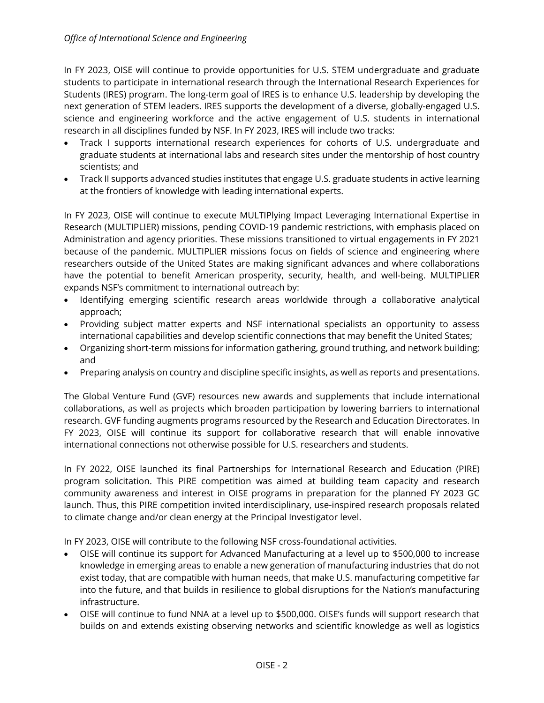In FY 2023, OISE will continue to provide opportunities for U.S. STEM undergraduate and graduate students to participate in international research through the International Research Experiences for Students (IRES) program. The long-term goal of IRES is to enhance U.S. leadership by developing the next generation of STEM leaders. IRES supports the development of a diverse, globally-engaged U.S. research in all disciplines funded by NSF. In FY 2023, IRES will include two tracks: science and engineering workforce and the active engagement of U.S. students in international

- graduate students at international labs and research sites under the mentorship of host country • Track I supports international research experiences for cohorts of U.S. undergraduate and scientists; and
- • Track II supports advanced studies institutes that engage U.S. graduate students in active learning at the frontiers of knowledge with leading international experts.

 In FY 2023, OISE will continue to execute MULTIPlying Impact Leveraging International Expertise in Research (MULTIPLIER) missions, pending COVID-19 pandemic restrictions, with emphasis placed on Administration and agency priorities. These missions transitioned to virtual engagements in FY 2021 researchers outside of the United States are making significant advances and where collaborations expands NSF's commitment to international outreach by: because of the pandemic. MULTIPLIER missions focus on fields of science and engineering where have the potential to benefit American prosperity, security, health, and well-being. MULTIPLIER

- Identifying emerging scientific research areas worldwide through a collaborative analytical approach;
- international capabilities and develop scientific connections that may benefit the United States; • Providing subject matter experts and NSF international specialists an opportunity to assess
- • Organizing short-term missions for information gathering, ground truthing, and network building; and
- Preparing analysis on country and discipline specific insights, as well as reports and presentations.

 The Global Venture Fund (GVF) resources new awards and supplements that include international collaborations, as well as projects which broaden participation by lowering barriers to international research. GVF funding augments programs resourced by the Research and Education Directorates. In international connections not otherwise possible for U.S. researchers and students. FY 2023, OISE will continue its support for collaborative research that will enable innovative

 community awareness and interest in OISE programs in preparation for the planned FY 2023 GC launch. Thus, this PIRE competition invited interdisciplinary, use-inspired research proposals related to climate change and/or clean energy at the Principal Investigator level. In FY 2022, OISE launched its final Partnerships for International Research and Education (PIRE) program solicitation. This PIRE competition was aimed at building team capacity and research

In FY 2023, OISE will contribute to the following NSF cross-foundational activities.

- • OISE will continue its support for Advanced Manufacturing at a level up to \$500,000 to increase knowledge in emerging areas to enable a new generation of manufacturing industries that do not exist today, that are compatible with human needs, that make U.S. manufacturing competitive far into the future, and that builds in resilience to global disruptions for the Nation's manufacturing infrastructure.
- • OISE will continue to fund NNA at a level up to \$500,000. OISE's funds will support research that builds on and extends existing observing networks and scientific knowledge as well as logistics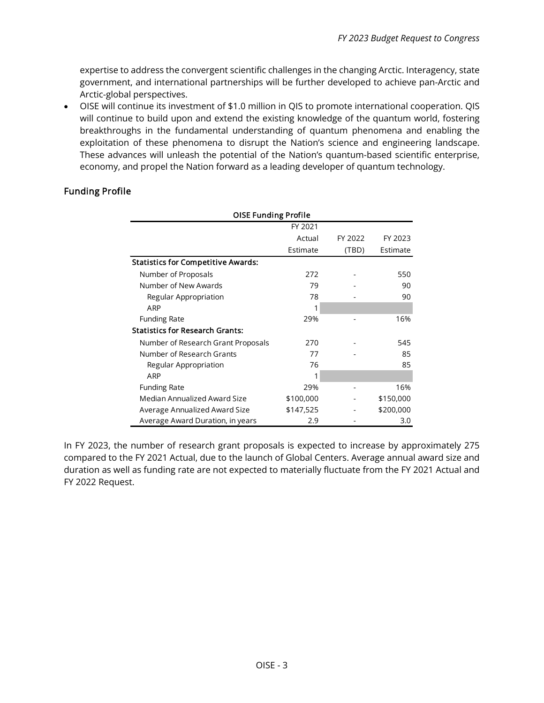expertise to address the convergent scientific challenges in the changing Arctic. Interagency, state government, and international partnerships will be further developed to achieve pan-Arctic and Arctic-global perspectives.

 • OISE will continue its investment of \$1.0 million in QIS to promote international cooperation. QIS will continue to build upon and extend the existing knowledge of the quantum world, fostering These advances will unleash the potential of the Nation's quantum-based scientific enterprise, economy, and propel the Nation forward as a leading developer of quantum technology. breakthroughs in the fundamental understanding of quantum phenomena and enabling the exploitation of these phenomena to disrupt the Nation's science and engineering landscape.

## Funding Profile

| <b>OISE Funding Profile</b>               |           |         |           |  |  |  |
|-------------------------------------------|-----------|---------|-----------|--|--|--|
|                                           | FY 2021   |         |           |  |  |  |
|                                           | Actual    | FY 2022 | FY 2023   |  |  |  |
|                                           | Estimate  | (TBD)   | Estimate  |  |  |  |
| <b>Statistics for Competitive Awards:</b> |           |         |           |  |  |  |
| Number of Proposals                       | 272       |         | 550       |  |  |  |
| Number of New Awards                      | 79        |         | 90        |  |  |  |
| Regular Appropriation                     | 78        |         | 90        |  |  |  |
| ARP                                       | 1         |         |           |  |  |  |
| <b>Funding Rate</b>                       | 29%       |         | 16%       |  |  |  |
| <b>Statistics for Research Grants:</b>    |           |         |           |  |  |  |
| Number of Research Grant Proposals        | 270       |         | 545       |  |  |  |
| Number of Research Grants                 | 77        |         | 85        |  |  |  |
| Regular Appropriation                     | 76        |         | 85        |  |  |  |
| ARP                                       | 1         |         |           |  |  |  |
| <b>Funding Rate</b>                       | 29%       |         | 16%       |  |  |  |
| Median Annualized Award Size              | \$100,000 |         | \$150,000 |  |  |  |
| Average Annualized Award Size             | \$147,525 |         | \$200,000 |  |  |  |
| Average Award Duration, in years          | 2.9       |         | 3.0       |  |  |  |

 In FY 2023, the number of research grant proposals is expected to increase by approximately 275 compared to the FY 2021 Actual, due to the launch of Global Centers. Average annual award size and duration as well as funding rate are not expected to materially fluctuate from the FY 2021 Actual and FY 2022 Request.